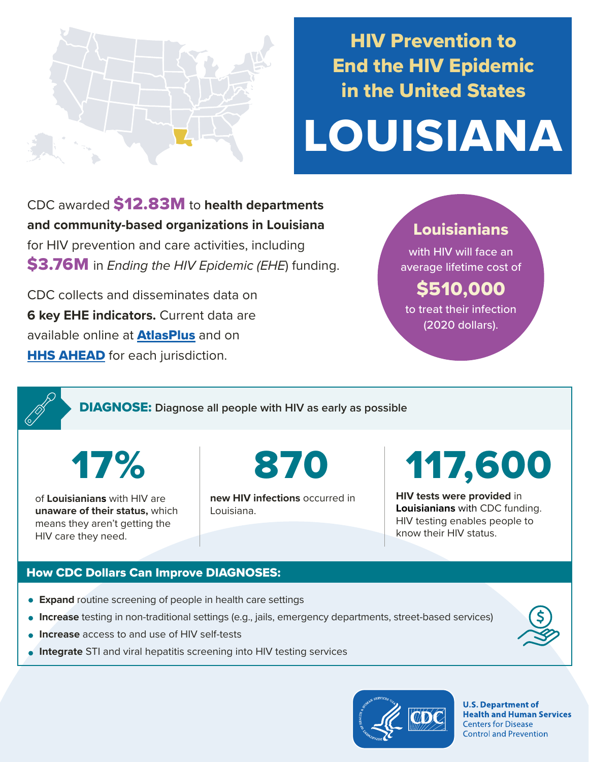

# HIV Prevention to End the HIV Epidemic in the United States

# LOUISIANA

CDC awarded \$12.83M to **health departments and community-based organizations in Louisiana**  for HIV prevention and care activities, including \$3.76M in *Ending the HIV Epidemic (EHE*) funding.

CDC collects and disseminates data on **6 key EHE indicators.** Current data are available online at **[AtlasPlus](https://www.cdc.gov/nchhstp/atlas/index.htm)** and on **[HHS AHEAD](https://ahead.hiv.gov/)** for each jurisdiction.

### Louisianians

with HIV will face an average lifetime cost of

## \$510,000

to treat their infection (2020 dollars).

DIAGNOSE: **Diagnose all people with HIV as early as possible** 

17%

of **Louisianians** with HIV are **unaware of their status,** which means they aren't getting the HIV care they need.

870

**new HIV infections** occurred in Louisiana.

# 117,600

**HIV tests were provided** in **Louisianians** with CDC funding. HIV testing enables people to know their HIV status.

#### How CDC Dollars Can Improve DIAGNOSES:

- **Expand** routine screening of people in health care settings
- **Increase** testing in non-traditional settings (e.g., jails, emergency departments, street-based services)
- **Increase** access to and use of HIV self-tests
- **Integrate** STI and viral hepatitis screening into HIV testing services



**U.S. Department of Health and Human Services Centers for Disease Control and Prevention**